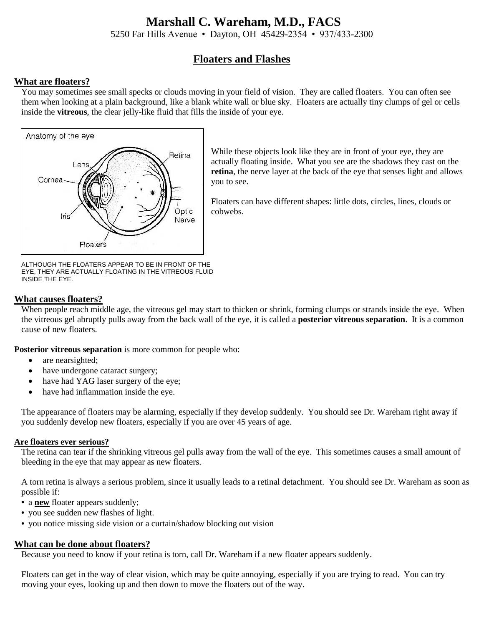# **Marshall C. Wareham, M.D., FACS**

5250 Far Hills Avenue • Dayton, OH 45429-2354 • 937/433-2300

# **Floaters and Flashes**

# **What are floaters?**

You may sometimes see small specks or clouds moving in your field of vision. They are called floaters. You can often see them when looking at a plain background, like a blank white wall or blue sky. Floaters are actually tiny clumps of gel or cells inside the **vitreous**, the clear jelly-like fluid that fills the inside of your eye.



While these objects look like they are in front of your eye, they are actually floating inside. What you see are the shadows they cast on the **retina**, the nerve layer at the back of the eye that senses light and allows you to see.

Floaters can have different shapes: little dots, circles, lines, clouds or cobwebs.

ALTHOUGH THE FLOATERS APPEAR TO BE IN FRONT OF THE EYE, THEY ARE ACTUALLY FLOATING IN THE VITREOUS FLUID INSIDE THE EYE.

#### **What causes floaters?**

When people reach middle age, the vitreous gel may start to thicken or shrink, forming clumps or strands inside the eye. When the vitreous gel abruptly pulls away from the back wall of the eye, it is called a **posterior vitreous separation**. It is a common cause of new floaters.

**Posterior vitreous separation** is more common for people who:

- are nearsighted;
- have undergone cataract surgery;
- have had YAG laser surgery of the eye;
- have had inflammation inside the eye.

The appearance of floaters may be alarming, especially if they develop suddenly. You should see Dr. Wareham right away if you suddenly develop new floaters, especially if you are over 45 years of age.

#### **Are floaters ever serious?**

The retina can tear if the shrinking vitreous gel pulls away from the wall of the eye. This sometimes causes a small amount of bleeding in the eye that may appear as new floaters.

A torn retina is always a serious problem, since it usually leads to a retinal detachment. You should see Dr. Wareham as soon as possible if:

- **•** a **new** floater appears suddenly;
- **•** you see sudden new flashes of light.
- **•** you notice missing side vision or a curtain/shadow blocking out vision

## **What can be done about floaters?**

Because you need to know if your retina is torn, call Dr. Wareham if a new floater appears suddenly.

Floaters can get in the way of clear vision, which may be quite annoying, especially if you are trying to read. You can try moving your eyes, looking up and then down to move the floaters out of the way.